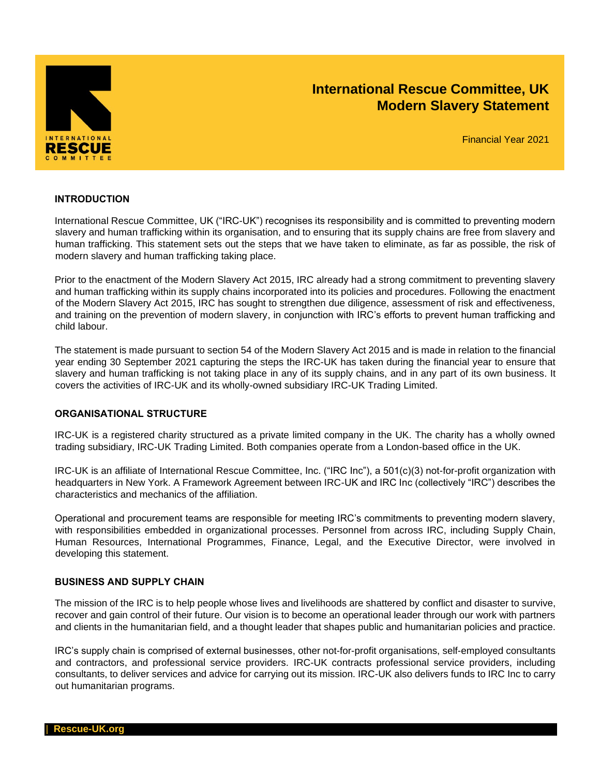

# **International Rescue Committee, UK Modern Slavery Statement**

Financial Year 2021

# **INTRODUCTION**

International Rescue Committee, UK ("IRC-UK") recognises its responsibility and is committed to preventing modern slavery and human trafficking within its organisation, and to ensuring that its supply chains are free from slavery and human trafficking. This statement sets out the steps that we have taken to eliminate, as far as possible, the risk of modern slavery and human trafficking taking place.

Prior to the enactment of the Modern Slavery Act 2015, IRC already had a strong commitment to preventing slavery and human trafficking within its supply chains incorporated into its policies and procedures. Following the enactment of the Modern Slavery Act 2015, IRC has sought to strengthen due diligence, assessment of risk and effectiveness, and training on the prevention of modern slavery, in conjunction with IRC's efforts to prevent human trafficking and child labour.

The statement is made pursuant to section 54 of the Modern Slavery Act 2015 and is made in relation to the financial year ending 30 September 2021 capturing the steps the IRC-UK has taken during the financial year to ensure that slavery and human trafficking is not taking place in any of its supply chains, and in any part of its own business. It covers the activities of IRC-UK and its wholly-owned subsidiary IRC-UK Trading Limited.

# **ORGANISATIONAL STRUCTURE**

IRC-UK is a registered charity structured as a private limited company in the UK. The charity has a wholly owned trading subsidiary, IRC-UK Trading Limited. Both companies operate from a London-based office in the UK.

IRC-UK is an affiliate of International Rescue Committee, Inc. ("IRC Inc"), a 501(c)(3) not-for-profit organization with headquarters in New York. A Framework Agreement between IRC-UK and IRC Inc (collectively "IRC") describes the characteristics and mechanics of the affiliation.

Operational and procurement teams are responsible for meeting IRC's commitments to preventing modern slavery, with responsibilities embedded in organizational processes. Personnel from across IRC, including Supply Chain, Human Resources, International Programmes, Finance, Legal, and the Executive Director, were involved in developing this statement.

# **BUSINESS AND SUPPLY CHAIN**

The mission of the IRC is to help people whose lives and livelihoods are shattered by conflict and disaster to survive, recover and gain control of their future. Our vision is to become an operational leader through our work with partners and clients in the humanitarian field, and a thought leader that shapes public and humanitarian policies and practice.

IRC's supply chain is comprised of external businesses, other not-for-profit organisations, self-employed consultants and contractors, and professional service providers. IRC-UK contracts professional service providers, including consultants, to deliver services and advice for carrying out its mission. IRC-UK also delivers funds to IRC Inc to carry out humanitarian programs.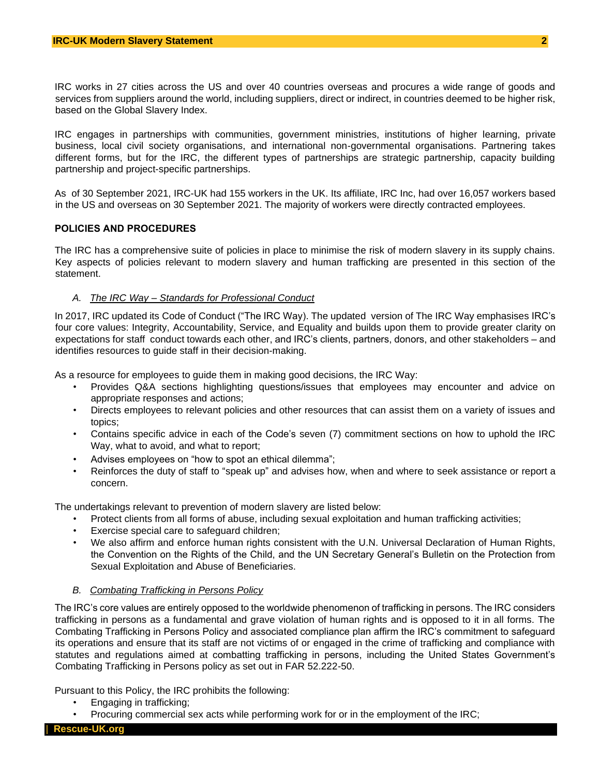IRC works in 27 cities across the US and over 40 countries overseas and procures a wide range of goods and services from suppliers around the world, including suppliers, direct or indirect, in countries deemed to be higher risk, based on the Global Slavery Index.

IRC engages in partnerships with communities, government ministries, institutions of higher learning, private business, local civil society organisations, and international non-governmental organisations. Partnering takes different forms, but for the IRC, the different types of partnerships are strategic partnership, capacity building partnership and project-specific partnerships.

As of 30 September 2021, IRC-UK had 155 workers in the UK. Its affiliate, IRC Inc, had over 16,057 workers based in the US and overseas on 30 September 2021. The majority of workers were directly contracted employees.

# **POLICIES AND PROCEDURES**

The IRC has a comprehensive suite of policies in place to minimise the risk of modern slavery in its supply chains. Key aspects of policies relevant to modern slavery and human trafficking are presented in this section of the statement.

#### *A. The IRC Way – Standards for Professional Conduct*

In 2017, IRC updated its Code of Conduct ("The IRC Way). The updated version of The IRC Way emphasises IRC's four core values: Integrity, Accountability, Service, and Equality and builds upon them to provide greater clarity on expectations for staff conduct towards each other, and IRC's clients, partners, donors, and other stakeholders – and identifies resources to guide staff in their decision-making.

As a resource for employees to guide them in making good decisions, the IRC Way:

- Provides Q&A sections highlighting questions/issues that employees may encounter and advice on appropriate responses and actions;
- Directs employees to relevant policies and other resources that can assist them on a variety of issues and topics;
- Contains specific advice in each of the Code's seven (7) commitment sections on how to uphold the IRC Way, what to avoid, and what to report;
- Advises employees on "how to spot an ethical dilemma";
- Reinforces the duty of staff to "speak up" and advises how, when and where to seek assistance or report a concern.

The undertakings relevant to prevention of modern slavery are listed below:

- Protect clients from all forms of abuse, including sexual exploitation and human trafficking activities;
- Exercise special care to safeguard children;
- We also affirm and enforce human rights consistent with the U.N. Universal Declaration of Human Rights, the Convention on the Rights of the Child, and the UN Secretary General's Bulletin on the Protection from Sexual Exploitation and Abuse of Beneficiaries.

# *B. Combating Trafficking in Persons Policy*

The IRC's core values are entirely opposed to the worldwide phenomenon of trafficking in persons. The IRC considers trafficking in persons as a fundamental and grave violation of human rights and is opposed to it in all forms. The Combating Trafficking in Persons Policy and associated compliance plan affirm the IRC's commitment to safeguard its operations and ensure that its staff are not victims of or engaged in the crime of trafficking and compliance with statutes and regulations aimed at combatting trafficking in persons, including the United States Government's Combating Trafficking in Persons policy as set out in FAR 52.222-50.

Pursuant to this Policy, the IRC prohibits the following:

- Engaging in trafficking;
- Procuring commercial sex acts while performing work for or in the employment of the IRC;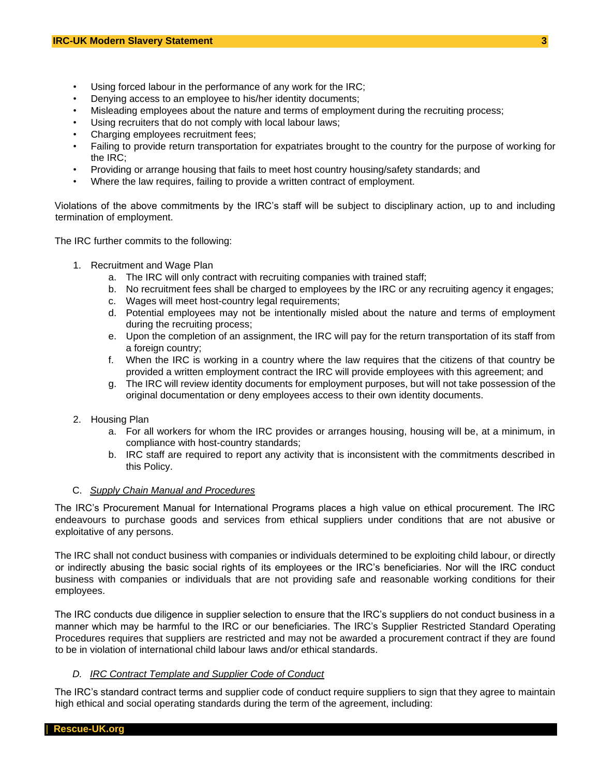- Using forced labour in the performance of any work for the IRC;
- Denying access to an employee to his/her identity documents;
- Misleading employees about the nature and terms of employment during the recruiting process;
- Using recruiters that do not comply with local labour laws;
- Charging employees recruitment fees;
- Failing to provide return transportation for expatriates brought to the country for the purpose of working for the IRC;
- Providing or arrange housing that fails to meet host country housing/safety standards; and
- Where the law requires, failing to provide a written contract of employment.

Violations of the above commitments by the IRC's staff will be subject to disciplinary action, up to and including termination of employment.

The IRC further commits to the following:

- 1. Recruitment and Wage Plan
	- a. The IRC will only contract with recruiting companies with trained staff;
	- b. No recruitment fees shall be charged to employees by the IRC or any recruiting agency it engages;
	- c. Wages will meet host-country legal requirements;
	- d. Potential employees may not be intentionally misled about the nature and terms of employment during the recruiting process;
	- e. Upon the completion of an assignment, the IRC will pay for the return transportation of its staff from a foreign country;
	- f. When the IRC is working in a country where the law requires that the citizens of that country be provided a written employment contract the IRC will provide employees with this agreement; and
	- g. The IRC will review identity documents for employment purposes, but will not take possession of the original documentation or deny employees access to their own identity documents.
- 2. Housing Plan
	- a. For all workers for whom the IRC provides or arranges housing, housing will be, at a minimum, in compliance with host-country standards;
	- b. IRC staff are required to report any activity that is inconsistent with the commitments described in this Policy.

# C. *Supply Chain Manual and Procedures*

The IRC's Procurement Manual for International Programs places a high value on ethical procurement. The IRC endeavours to purchase goods and services from ethical suppliers under conditions that are not abusive or exploitative of any persons.

The IRC shall not conduct business with companies or individuals determined to be exploiting child labour, or directly or indirectly abusing the basic social rights of its employees or the IRC's beneficiaries. Nor will the IRC conduct business with companies or individuals that are not providing safe and reasonable working conditions for their employees.

The IRC conducts due diligence in supplier selection to ensure that the IRC's suppliers do not conduct business in a manner which may be harmful to the IRC or our beneficiaries. The IRC's Supplier Restricted Standard Operating Procedures requires that suppliers are restricted and may not be awarded a procurement contract if they are found to be in violation of international child labour laws and/or ethical standards.

# *D. IRC Contract Template and Supplier Code of Conduct*

The IRC's standard contract terms and supplier code of conduct require suppliers to sign that they agree to maintain high ethical and social operating standards during the term of the agreement, including: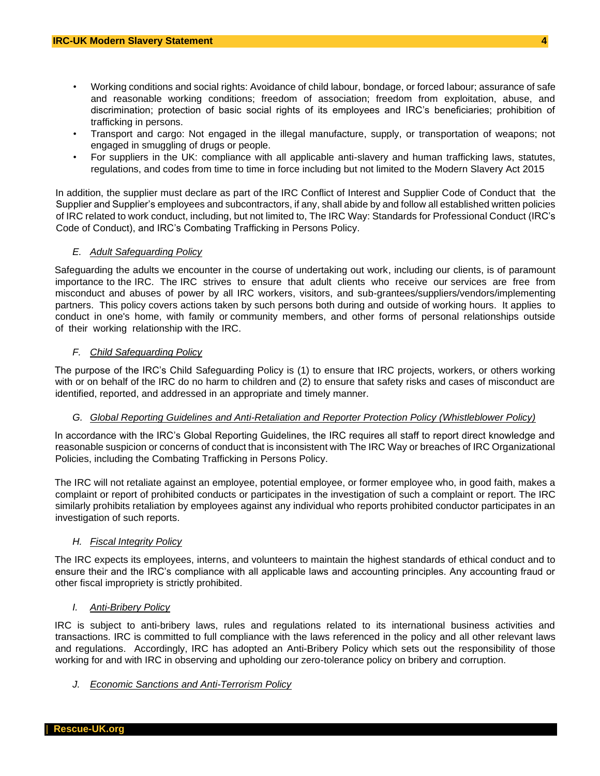- Working conditions and social rights: Avoidance of child labour, bondage, or forced labour; assurance of safe and reasonable working conditions; freedom of association; freedom from exploitation, abuse, and discrimination; protection of basic social rights of its employees and IRC's beneficiaries; prohibition of trafficking in persons.
- Transport and cargo: Not engaged in the illegal manufacture, supply, or transportation of weapons; not engaged in smuggling of drugs or people.
- For suppliers in the UK: compliance with all applicable anti-slavery and human trafficking laws, statutes, regulations, and codes from time to time in force including but not limited to the Modern Slavery Act 2015

In addition, the supplier must declare as part of the IRC Conflict of Interest and Supplier Code of Conduct that the Supplier and Supplier's employees and subcontractors, if any, shall abide by and follow all established written policies of IRC related to work conduct, including, but not limited to, The IRC Way: Standards for Professional Conduct (IRC's Code of Conduct), and IRC's Combating Trafficking in Persons Policy.

# *E. Adult Safeguarding Policy*

Safeguarding the adults we encounter in the course of undertaking out work, including our clients, is of paramount importance to the IRC. The IRC strives to ensure that adult clients who receive our services are free from misconduct and abuses of power by all IRC workers, visitors, and sub-grantees/suppliers/vendors/implementing partners. This policy covers actions taken by such persons both during and outside of working hours. It applies to conduct in one's home, with family or community members, and other forms of personal relationships outside of their working relationship with the IRC.

# *F. Child Safeguarding Policy*

The purpose of the IRC's Child Safeguarding Policy is (1) to ensure that IRC projects, workers, or others working with or on behalf of the IRC do no harm to children and (2) to ensure that safety risks and cases of misconduct are identified, reported, and addressed in an appropriate and timely manner.

# *G. Global Reporting Guidelines and Anti-Retaliation and Reporter Protection Policy (Whistleblower Policy)*

In accordance with the IRC's Global Reporting Guidelines, the IRC requires all staff to report direct knowledge and reasonable suspicion or concerns of conduct that is inconsistent with The IRC Way or breaches of IRC Organizational Policies, including the Combating Trafficking in Persons Policy.

The IRC will not retaliate against an employee, potential employee, or former employee who, in good faith, makes a complaint or report of prohibited conducts or participates in the investigation of such a complaint or report. The IRC similarly prohibits retaliation by employees against any individual who reports prohibited conductor participates in an investigation of such reports.

# *H. Fiscal Integrity Policy*

The IRC expects its employees, interns, and volunteers to maintain the highest standards of ethical conduct and to ensure their and the IRC's compliance with all applicable laws and accounting principles. Any accounting fraud or other fiscal impropriety is strictly prohibited.

# *I. Anti-Bribery Policy*

IRC is subject to anti-bribery laws, rules and regulations related to its international business activities and transactions. IRC is committed to full compliance with the laws referenced in the policy and all other relevant laws and regulations. Accordingly, IRC has adopted an Anti-Bribery Policy which sets out the responsibility of those working for and with IRC in observing and upholding our zero-tolerance policy on bribery and corruption.

# *J. Economic Sanctions and Anti-Terrorism Policy*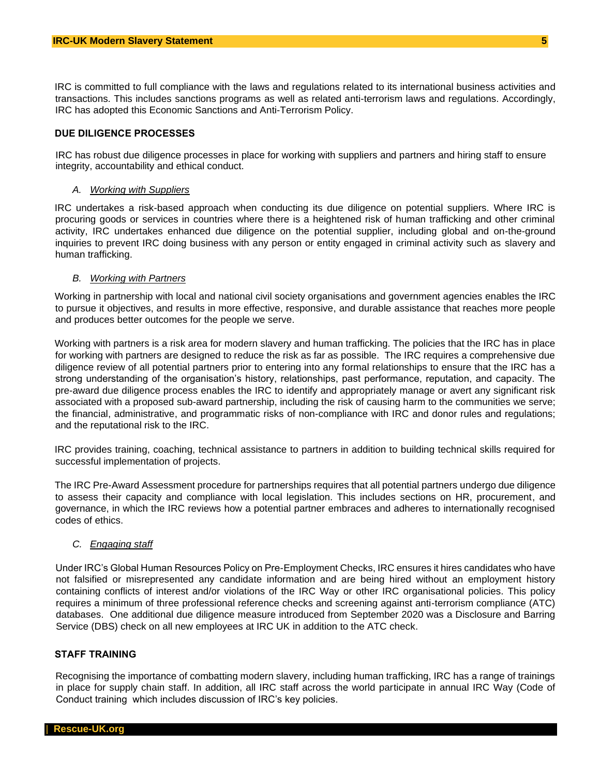IRC is committed to full compliance with the laws and regulations related to its international business activities and transactions. This includes sanctions programs as well as related anti-terrorism laws and regulations. Accordingly, IRC has adopted this Economic Sanctions and Anti-Terrorism Policy.

#### **DUE DILIGENCE PROCESSES**

IRC has robust due diligence processes in place for working with suppliers and partners and hiring staff to ensure integrity, accountability and ethical conduct.

#### *A. Working with Suppliers*

IRC undertakes a risk-based approach when conducting its due diligence on potential suppliers. Where IRC is procuring goods or services in countries where there is a heightened risk of human trafficking and other criminal activity, IRC undertakes enhanced due diligence on the potential supplier, including global and on-the-ground inquiries to prevent IRC doing business with any person or entity engaged in criminal activity such as slavery and human trafficking.

#### *B. Working with Partners*

Working in partnership with local and national civil society organisations and government agencies enables the IRC to pursue it objectives, and results in more effective, responsive, and durable assistance that reaches more people and produces better outcomes for the people we serve.

Working with partners is a risk area for modern slavery and human trafficking. The policies that the IRC has in place for working with partners are designed to reduce the risk as far as possible. The IRC requires a comprehensive due diligence review of all potential partners prior to entering into any formal relationships to ensure that the IRC has a strong understanding of the organisation's history, relationships, past performance, reputation, and capacity. The pre-award due diligence process enables the IRC to identify and appropriately manage or avert any significant risk associated with a proposed sub-award partnership, including the risk of causing harm to the communities we serve; the financial, administrative, and programmatic risks of non-compliance with IRC and donor rules and regulations; and the reputational risk to the IRC.

IRC provides training, coaching, technical assistance to partners in addition to building technical skills required for successful implementation of projects.

The IRC Pre-Award Assessment procedure for partnerships requires that all potential partners undergo due diligence to assess their capacity and compliance with local legislation. This includes sections on HR, procurement, and governance, in which the IRC reviews how a potential partner embraces and adheres to internationally recognised codes of ethics.

# *C. Engaging staff*

Under IRC's Global Human Resources Policy on Pre-Employment Checks, IRC ensures it hires candidates who have not falsified or misrepresented any candidate information and are being hired without an employment history containing conflicts of interest and/or violations of the IRC Way or other IRC organisational policies. This policy requires a minimum of three professional reference checks and screening against anti-terrorism compliance (ATC) databases. One additional due diligence measure introduced from September 2020 was a Disclosure and Barring Service (DBS) check on all new employees at IRC UK in addition to the ATC check.

# **STAFF TRAINING**

Recognising the importance of combatting modern slavery, including human trafficking, IRC has a range of trainings in place for supply chain staff. In addition, all IRC staff across the world participate in annual IRC Way (Code of Conduct training which includes discussion of IRC's key policies.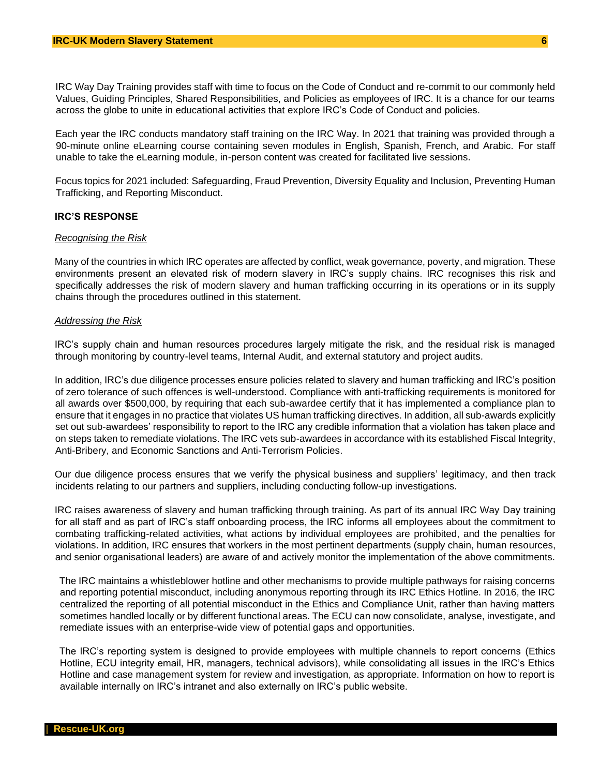IRC Way Day Training provides staff with time to focus on the Code of Conduct and re-commit to our commonly held Values, Guiding Principles, Shared Responsibilities, and Policies as employees of IRC. It is a chance for our teams across the globe to unite in educational activities that explore IRC's Code of Conduct and policies.

Each year the IRC conducts mandatory staff training on the IRC Way. In 2021 that training was provided through a 90-minute online eLearning course containing seven modules in English, Spanish, French, and Arabic. For staff unable to take the eLearning module, in-person content was created for facilitated live sessions.

Focus topics for 2021 included: Safeguarding, Fraud Prevention, Diversity Equality and Inclusion, Preventing Human Trafficking, and Reporting Misconduct.

#### **IRC'S RESPONSE**

#### *Recognising the Risk*

Many of the countries in which IRC operates are affected by conflict, weak governance, poverty, and migration. These environments present an elevated risk of modern slavery in IRC's supply chains. IRC recognises this risk and specifically addresses the risk of modern slavery and human trafficking occurring in its operations or in its supply chains through the procedures outlined in this statement.

#### *Addressing the Risk*

IRC's supply chain and human resources procedures largely mitigate the risk, and the residual risk is managed through monitoring by country-level teams, Internal Audit, and external statutory and project audits.

In addition, IRC's due diligence processes ensure policies related to slavery and human trafficking and IRC's position of zero tolerance of such offences is well-understood. Compliance with anti-trafficking requirements is monitored for all awards over \$500,000, by requiring that each sub-awardee certify that it has implemented a compliance plan to ensure that it engages in no practice that violates US human trafficking directives. In addition, all sub-awards explicitly set out sub-awardees' responsibility to report to the IRC any credible information that a violation has taken place and on steps taken to remediate violations. The IRC vets sub-awardees in accordance with its established Fiscal Integrity, Anti-Bribery, and Economic Sanctions and Anti-Terrorism Policies.

Our due diligence process ensures that we verify the physical business and suppliers' legitimacy, and then track incidents relating to our partners and suppliers, including conducting follow-up investigations.

IRC raises awareness of slavery and human trafficking through training. As part of its annual IRC Way Day training for all staff and as part of IRC's staff onboarding process, the IRC informs all employees about the commitment to combating trafficking-related activities, what actions by individual employees are prohibited, and the penalties for violations. In addition, IRC ensures that workers in the most pertinent departments (supply chain, human resources, and senior organisational leaders) are aware of and actively monitor the implementation of the above commitments.

The IRC maintains a whistleblower hotline and other mechanisms to provide multiple pathways for raising concerns and reporting potential misconduct, including anonymous reporting through its IRC Ethics Hotline. In 2016, the IRC centralized the reporting of all potential misconduct in the Ethics and Compliance Unit, rather than having matters sometimes handled locally or by different functional areas. The ECU can now consolidate, analyse, investigate, and remediate issues with an enterprise-wide view of potential gaps and opportunities.

The IRC's reporting system is designed to provide employees with multiple channels to report concerns (Ethics Hotline, ECU integrity email, HR, managers, technical advisors), while consolidating all issues in the IRC's Ethics Hotline and case management system for review and investigation, as appropriate. Information on how to report is available internally on IRC's intranet and also externally on IRC's public website.